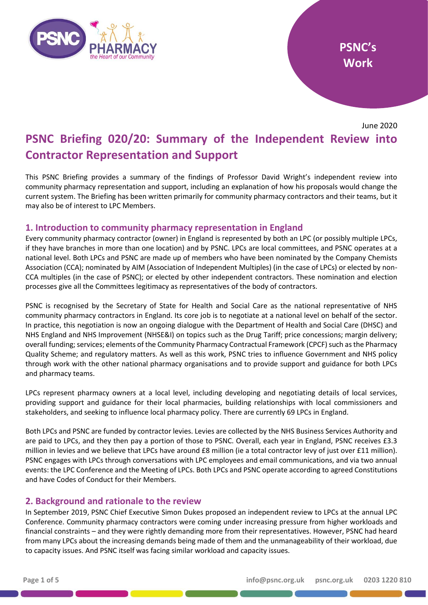

June 2020

# **PSNC Briefing 020/20: Summary of the Independent Review into Contractor Representation and Support**

This PSNC Briefing provides a summary of the findings of Professor David Wright's independent review into community pharmacy representation and support, including an explanation of how his proposals would change the current system. The Briefing has been written primarily for community pharmacy contractors and their teams, but it may also be of interest to LPC Members.

## **1. Introduction to community pharmacy representation in England**

Every community pharmacy contractor (owner) in England is represented by both an LPC (or possibly multiple LPCs, if they have branches in more than one location) and by PSNC. LPCs are local committees, and PSNC operates at a national level. Both LPCs and PSNC are made up of members who have been nominated by the Company Chemists Association (CCA); nominated by AIM (Association of Independent Multiples) (in the case of LPCs) or elected by non-CCA multiples (in the case of PSNC); or elected by other independent contractors. These nomination and election processes give all the Committees legitimacy as representatives of the body of contractors.

PSNC is recognised by the Secretary of State for Health and Social Care as the national representative of NHS community pharmacy contractors in England. Its core job is to negotiate at a national level on behalf of the sector. In practice, this negotiation is now an ongoing dialogue with the Department of Health and Social Care (DHSC) and NHS England and NHS Improvement (NHSE&I) on topics such as the Drug Tariff; price concessions; margin delivery; overall funding; services; elements of the Community Pharmacy Contractual Framework (CPCF) such as the Pharmacy Quality Scheme; and regulatory matters. As well as this work, PSNC tries to influence Government and NHS policy through work with the other national pharmacy organisations and to provide support and guidance for both LPCs and pharmacy teams.

LPCs represent pharmacy owners at a local level, including developing and negotiating details of local services, providing support and guidance for their local pharmacies, building relationships with local commissioners and stakeholders, and seeking to influence local pharmacy policy. There are currently 69 LPCs in England.

Both LPCs and PSNC are funded by contractor levies. Levies are collected by the NHS Business Services Authority and are paid to LPCs, and they then pay a portion of those to PSNC. Overall, each year in England, PSNC receives £3.3 million in levies and we believe that LPCs have around £8 million (ie a total contractor levy of just over £11 million). PSNC engages with LPCs through conversations with LPC employees and email communications, and via two annual events: the LPC Conference and the Meeting of LPCs. Both LPCs and PSNC operate according to agreed Constitutions and have Codes of Conduct for their Members.

# **2. Background and rationale to the review**

In September 2019, PSNC Chief Executive Simon Dukes proposed an independent review to LPCs at the annual LPC Conference. Community pharmacy contractors were coming under increasing pressure from higher workloads and financial constraints – and they were rightly demanding more from their representatives. However, PSNC had heard from many LPCs about the increasing demands being made of them and the unmanageability of their workload, due to capacity issues. And PSNC itself was facing similar workload and capacity issues.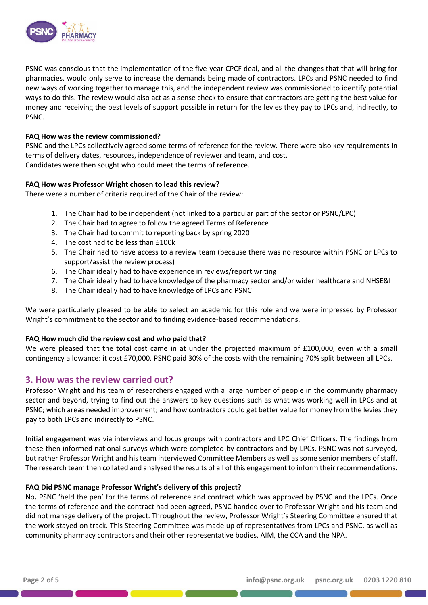

PSNC was conscious that the implementation of the five-year CPCF deal, and all the changes that that will bring for pharmacies, would only serve to increase the demands being made of contractors. LPCs and PSNC needed to find new ways of working together to manage this, and the independent review was commissioned to identify potential ways to do this. The review would also act as a sense check to ensure that contractors are getting the best value for money and receiving the best levels of support possible in return for the levies they pay to LPCs and, indirectly, to PSNC.

## **FAQ How was the review commissioned?**

PSNC and the LPCs collectively agreed some terms of reference for the review. There were also key requirements in terms of delivery dates, resources, independence of reviewer and team, and cost. Candidates were then sought who could meet the terms of reference.

## **FAQ How was Professor Wright chosen to lead this review?**

There were a number of criteria required of the Chair of the review:

- 1. The Chair had to be independent (not linked to a particular part of the sector or PSNC/LPC)
- 2. The Chair had to agree to follow the agreed Terms of Reference
- 3. The Chair had to commit to reporting back by spring 2020
- 4. The cost had to be less than £100k
- 5. The Chair had to have access to a review team (because there was no resource within PSNC or LPCs to support/assist the review process)
- 6. The Chair ideally had to have experience in reviews/report writing
- 7. The Chair ideally had to have knowledge of the pharmacy sector and/or wider healthcare and NHSE&I
- 8. The Chair ideally had to have knowledge of LPCs and PSNC

We were particularly pleased to be able to select an academic for this role and we were impressed by Professor Wright's commitment to the sector and to finding evidence-based recommendations.

## **FAQ How much did the review cost and who paid that?**

We were pleased that the total cost came in at under the projected maximum of £100,000, even with a small contingency allowance: it cost £70,000. PSNC paid 30% of the costs with the remaining 70% split between all LPCs.

## **3. How was the review carried out?**

Professor Wright and his team of researchers engaged with a large number of people in the community pharmacy sector and beyond, trying to find out the answers to key questions such as what was working well in LPCs and at PSNC; which areas needed improvement; and how contractors could get better value for money from the levies they pay to both LPCs and indirectly to PSNC.

Initial engagement was via interviews and focus groups with contractors and LPC Chief Officers. The findings from these then informed national surveys which were completed by contractors and by LPCs. PSNC was not surveyed, but rather Professor Wright and his team interviewed Committee Members as well as some senior members of staff. The research team then collated and analysed the results of all of this engagement to inform their recommendations.

#### **FAQ Did PSNC manage Professor Wright's delivery of this project?**

No**.** PSNC 'held the pen' for the terms of reference and contract which was approved by PSNC and the LPCs. Once the terms of reference and the contract had been agreed, PSNC handed over to Professor Wright and his team and did not manage delivery of the project. Throughout the review, Professor Wright's Steering Committee ensured that the work stayed on track. This Steering Committee was made up of representatives from LPCs and PSNC, as well as community pharmacy contractors and their other representative bodies, AIM, the CCA and the NPA.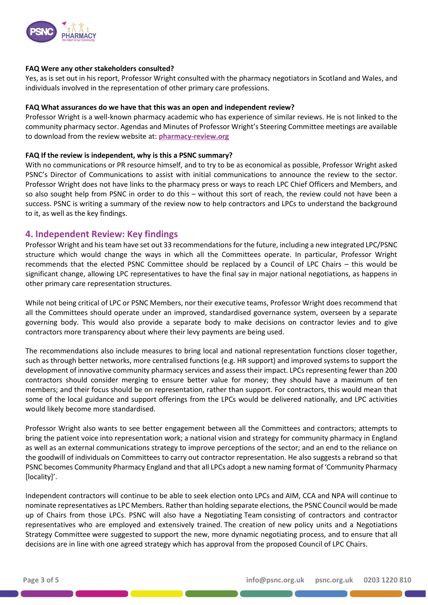

## **FAQ Were any other stakeholders consulted?**

Yes, as is set out in his report, Professor Wright consulted with the pharmacy negotiators in Scotland and Wales, and individuals involved in the representation of other primary care professions.

## **FAQ What assurances do we have that this was an open and independent review?**

Professor Wright is a well-known pharmacy academic who has experience of similar reviews. He is not linked to the community pharmacy sector. Agendas and Minutes of Professor Wright's Steering Committee meetings are available to download from the review website at: **[pharmacy-review.org](https://pharmacy-review.org/)**

## **FAQ If the review is independent, why is this a PSNC summary?**

With no communications or PR resource himself, and to try to be as economical as possible, Professor Wright asked PSNC's Director of Communications to assist with initial communications to announce the review to the sector. Professor Wright does not have links to the pharmacy press or ways to reach LPC Chief Officers and Members, and so also sought help from PSNC in order to do this – without this sort of reach, the review could not have been a success. PSNC is writing a summary of the review now to help contractors and LPCs to understand the background to it, as well as the key findings.

## **4. Independent Review: Key findings**

Professor Wright and his team have set out 33 recommendations for the future, including a new integrated LPC/PSNC structure which would change the ways in which all the Committees operate. In particular, Professor Wright recommends that the elected PSNC Committee should be replaced by a Council of LPC Chairs – this would be significant change, allowing LPC representatives to have the final say in major national negotiations, as happens in other primary care representation structures.

While not being critical of LPC or PSNC Members, nor their executive teams, Professor Wright does recommend that all the Committees should operate under an improved, standardised governance system, overseen by a separate governing body. This would also provide a separate body to make decisions on contractor levies and to give contractors more transparency about where their levy payments are being used.

The recommendations also include measures to bring local and national representation functions closer together, such as through better networks, more centralised functions (e.g. HR support) and improved systems to support the development of innovative community pharmacy services and assess their impact. LPCs representing fewer than 200 contractors should consider merging to ensure better value for money; they should have a maximum of ten members; and their focus should be on representation, rather than support. For contractors, this would mean that some of the local guidance and support offerings from the LPCs would be delivered nationally, and LPC activities would likely become more standardised.

Professor Wright also wants to see better engagement between all the Committees and contractors; attempts to bring the patient voice into representation work; a national vision and strategy for community pharmacy in England as well as an external communications strategy to improve perceptions of the sector; and an end to the reliance on the goodwill of individuals on Committees to carry out contractor representation. He also suggests a rebrand so that PSNC becomes Community Pharmacy England and that all LPCs adopt a new naming format of 'Community Pharmacy [locality]'.

Independent contractors will continue to be able to seek election onto LPCs and AIM, CCA and NPA will continue to nominate representatives as LPC Members. Rather than holding separate elections, the PSNC Council would be made up of Chairs from those LPCs. PSNC will also have a Negotiating Team consisting of contractors and contractor representatives who are employed and extensively trained. The creation of new policy units and a Negotiations Strategy Committee were suggested to support the new, more dynamic negotiating process, and to ensure that all decisions are in line with one agreed strategy which has approval from the proposed Council of LPC Chairs.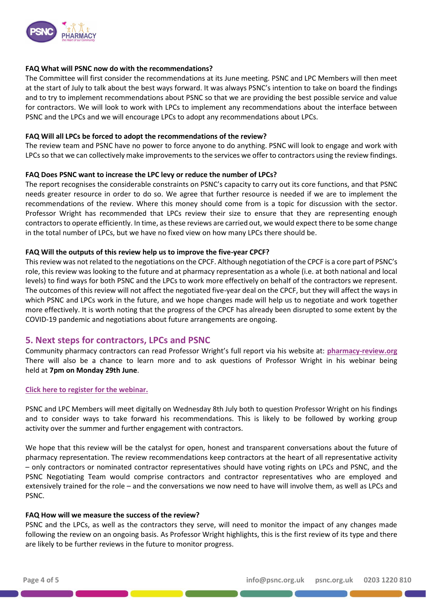

## **FAQ What will PSNC now do with the recommendations?**

The Committee will first consider the recommendations at its June meeting. PSNC and LPC Members will then meet at the start of July to talk about the best ways forward. It was always PSNC's intention to take on board the findings and to try to implement recommendations about PSNC so that we are providing the best possible service and value for contractors. We will look to work with LPCs to implement any recommendations about the interface between PSNC and the LPCs and we will encourage LPCs to adopt any recommendations about LPCs.

## **FAQ Will all LPCs be forced to adopt the recommendations of the review?**

The review team and PSNC have no power to force anyone to do anything. PSNC will look to engage and work with LPCs so that we can collectively make improvements to the services we offer to contractors using the review findings.

## **FAQ Does PSNC want to increase the LPC levy or reduce the number of LPCs?**

The report recognises the considerable constraints on PSNC's capacity to carry out its core functions, and that PSNC needs greater resource in order to do so. We agree that further resource is needed if we are to implement the recommendations of the review. Where this money should come from is a topic for discussion with the sector. Professor Wright has recommended that LPCs review their size to ensure that they are representing enough contractors to operate efficiently. In time, as these reviews are carried out, we would expect there to be some change in the total number of LPCs, but we have no fixed view on how many LPCs there should be.

## **FAQ Will the outputs of this review help us to improve the five-year CPCF?**

This review was not related to the negotiations on the CPCF. Although negotiation of the CPCF is a core part of PSNC's role, this review was looking to the future and at pharmacy representation as a whole (i.e. at both national and local levels) to find ways for both PSNC and the LPCs to work more effectively on behalf of the contractors we represent. The outcomes of this review will not affect the negotiated five-year deal on the CPCF, but they will affect the ways in which PSNC and LPCs work in the future, and we hope changes made will help us to negotiate and work together more effectively. It is worth noting that the progress of the CPCF has already been disrupted to some extent by the COVID-19 pandemic and negotiations about future arrangements are ongoing.

## **5. Next steps for contractors, LPCs and PSNC**

Community pharmacy contractors can read Professor Wright's full report via his website at: **[pharmacy-review.org](https://pharmacy-review.org/)** There will also be a chance to learn more and to ask questions of Professor Wright in his webinar being held at **7pm on Monday 29th June**.

#### **[Click here to register for the webinar.](https://view6.workcast.net/register?cpak=5194367971747502)**

PSNC and LPC Members will meet digitally on Wednesday 8th July both to question Professor Wright on his findings and to consider ways to take forward his recommendations. This is likely to be followed by working group activity over the summer and further engagement with contractors.

We hope that this review will be the catalyst for open, honest and transparent conversations about the future of pharmacy representation. The review recommendations keep contractors at the heart of all representative activity – only contractors or nominated contractor representatives should have voting rights on LPCs and PSNC, and the PSNC Negotiating Team would comprise contractors and contractor representatives who are employed and extensively trained for the role – and the conversations we now need to have will involve them, as well as LPCs and PSNC.

#### **FAQ How will we measure the success of the review?**

PSNC and the LPCs, as well as the contractors they serve, will need to monitor the impact of any changes made following the review on an ongoing basis. As Professor Wright highlights, this is the first review of its type and there are likely to be further reviews in the future to monitor progress.